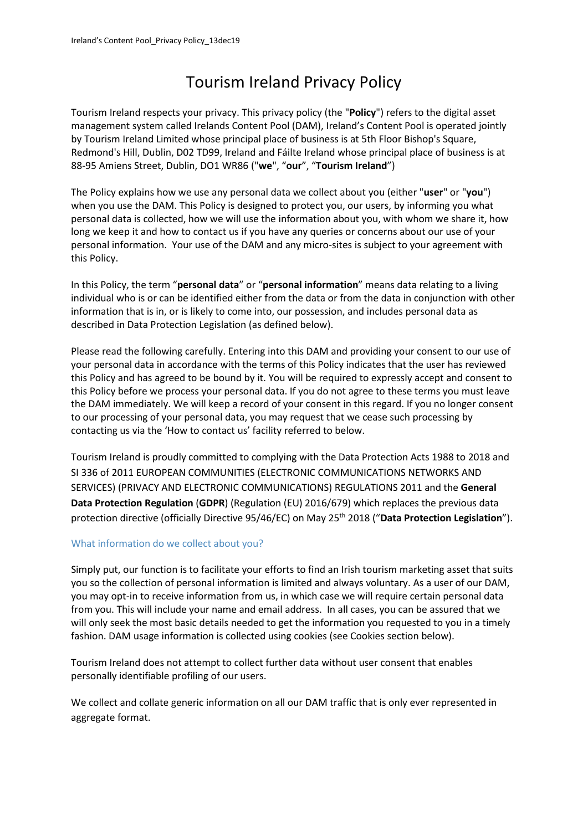# Tourism Ireland Privacy Policy

Tourism Ireland respects your privacy. This privacy policy (the "**Policy**") refers to the digital asset management system called Irelands Content Pool (DAM), Ireland's Content Pool is operated jointly by Tourism Ireland Limited whose principal place of business is at 5th Floor Bishop's Square, Redmond's Hill, Dublin, D02 TD99, Ireland and Fáilte Ireland whose principal place of business is at 88-95 Amiens Street, Dublin, DO1 WR86 ("**we**", "**our**", "**Tourism Ireland**")

The Policy explains how we use any personal data we collect about you (either "**user**" or "**you**") when you use the DAM. This Policy is designed to protect you, our users, by informing you what personal data is collected, how we will use the information about you, with whom we share it, how long we keep it and how to contact us if you have any queries or concerns about our use of your personal information. Your use of the DAM and any micro-sites is subject to your agreement with this Policy.

In this Policy, the term "**personal data**" or "**personal information**" means data relating to a living individual who is or can be identified either from the data or from the data in conjunction with other information that is in, or is likely to come into, our possession, and includes personal data as described in Data Protection Legislation (as defined below).

Please read the following carefully. Entering into this DAM and providing your consent to our use of your personal data in accordance with the terms of this Policy indicates that the user has reviewed this Policy and has agreed to be bound by it. You will be required to expressly accept and consent to this Policy before we process your personal data. If you do not agree to these terms you must leave the DAM immediately. We will keep a record of your consent in this regard. If you no longer consent to our processing of your personal data, you may request that we cease such processing by contacting us via the 'How to contact us' facility referred to below.

Tourism Ireland is proudly committed to complying with the Data Protection Acts 1988 to 2018 and SI 336 of 2011 EUROPEAN COMMUNITIES (ELECTRONIC COMMUNICATIONS NETWORKS AND SERVICES) (PRIVACY AND ELECTRONIC COMMUNICATIONS) REGULATIONS 2011 and the **General Data Protection Regulation** (**GDPR**) (Regulation (EU) 2016/679) which replaces the previous data protection directive (officially Directive 95/46/EC) on May 25<sup>th</sup> 2018 ("Data Protection Legislation").

# What information do we collect about you?

Simply put, our function is to facilitate your efforts to find an Irish tourism marketing asset that suits you so the collection of personal information is limited and always voluntary. As a user of our DAM, you may opt-in to receive information from us, in which case we will require certain personal data from you. This will include your name and email address. In all cases, you can be assured that we will only seek the most basic details needed to get the information you requested to you in a timely fashion. DAM usage information is collected using cookies (see Cookies section below).

Tourism Ireland does not attempt to collect further data without user consent that enables personally identifiable profiling of our users.

We collect and collate generic information on all our DAM traffic that is only ever represented in aggregate format.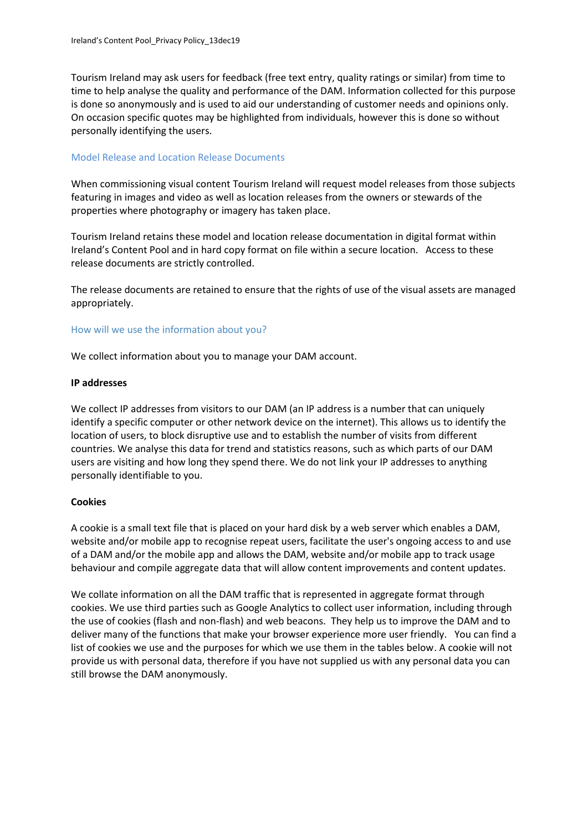Tourism Ireland may ask users for feedback (free text entry, quality ratings or similar) from time to time to help analyse the quality and performance of the DAM. Information collected for this purpose is done so anonymously and is used to aid our understanding of customer needs and opinions only. On occasion specific quotes may be highlighted from individuals, however this is done so without personally identifying the users.

#### Model Release and Location Release Documents

When commissioning visual content Tourism Ireland will request model releases from those subjects featuring in images and video as well as location releases from the owners or stewards of the properties where photography or imagery has taken place.

Tourism Ireland retains these model and location release documentation in digital format within Ireland's Content Pool and in hard copy format on file within a secure location. Access to these release documents are strictly controlled.

The release documents are retained to ensure that the rights of use of the visual assets are managed appropriately.

## How will we use the information about you?

We collect information about you to manage your DAM account.

#### **IP addresses**

We collect IP addresses from visitors to our DAM (an IP address is a number that can uniquely identify a specific computer or other network device on the internet). This allows us to identify the location of users, to block disruptive use and to establish the number of visits from different countries. We analyse this data for trend and statistics reasons, such as which parts of our DAM users are visiting and how long they spend there. We do not link your IP addresses to anything personally identifiable to you.

## **Cookies**

A cookie is a small text file that is placed on your hard disk by a web server which enables a DAM, website and/or mobile app to recognise repeat users, facilitate the user's ongoing access to and use of a DAM and/or the mobile app and allows the DAM, website and/or mobile app to track usage behaviour and compile aggregate data that will allow content improvements and content updates.

<span id="page-1-0"></span>We collate information on all the DAM traffic that is represented in aggregate format through cookies. We use third parties such as Google Analytics to collect user information, including through the use of cookies (flash and non-flash) and web beacons. They help us to improve the DAM and to deliver many of the functions that make your browser experience more user friendly. You can find a list of cookies we use and the purposes for which we use them in the tables below[.](#page-1-0) A cookie will not provide us with personal data, therefore if you have not supplied us with any personal data you can still browse the DAM anonymously.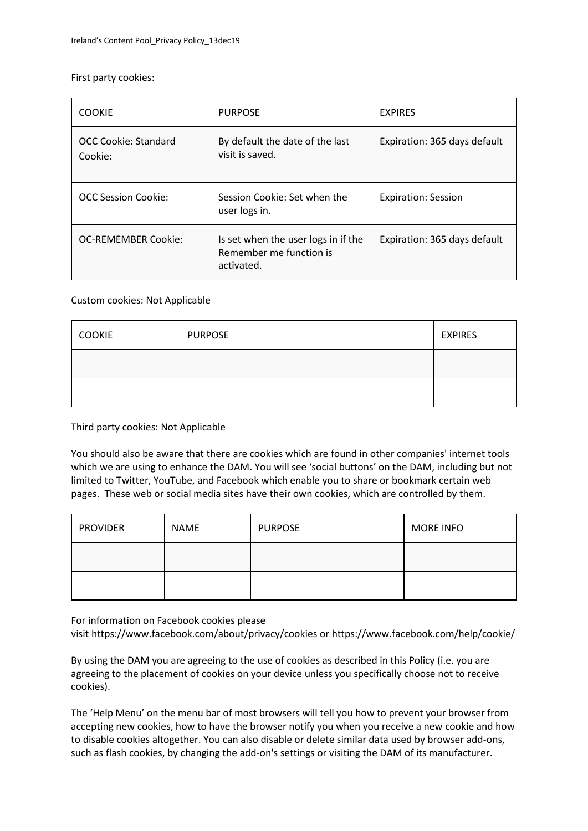## First party cookies:

| <b>COOKIE</b>                   | <b>PURPOSE</b>                                                               | <b>EXPIRES</b>               |
|---------------------------------|------------------------------------------------------------------------------|------------------------------|
| OCC Cookie: Standard<br>Cookie: | By default the date of the last<br>visit is saved.                           | Expiration: 365 days default |
| OCC Session Cookie:             | Session Cookie: Set when the<br>user logs in.                                | <b>Expiration: Session</b>   |
| <b>OC-REMEMBER Cookie:</b>      | Is set when the user logs in if the<br>Remember me function is<br>activated. | Expiration: 365 days default |

## Custom cookies: Not Applicable

| <b>COOKIE</b> | <b>PURPOSE</b> | <b>EXPIRES</b> |
|---------------|----------------|----------------|
|               |                |                |
|               |                |                |

Third party cookies: Not Applicable

You should also be aware that there are cookies which are found in other companies' internet tools which we are using to enhance the DAM. You will see 'social buttons' on the DAM, including but not limited to Twitter, YouTube, and Facebook which enable you to share or bookmark certain web pages. These web or social media sites have their own cookies, which are controlled by them.

| <b>PROVIDER</b> | NAME | <b>PURPOSE</b> | <b>MORE INFO</b> |
|-----------------|------|----------------|------------------|
|                 |      |                |                  |
|                 |      |                |                  |

For information on Facebook cookies please

visit <https://www.facebook.com/about/privacy/cookies> or [https://www.facebook.com/help/cookie/](https://www.facebook.com/help/cookies/)

By using the DAM you are agreeing to the use of cookies as described in this Policy (i.e. you are agreeing to the placement of cookies on your device unless you specifically choose not to receive cookies).

The 'Help Menu' on the menu bar of most browsers will tell you how to prevent your browser from accepting new cookies, how to have the browser notify you when you receive a new cookie and how to disable cookies altogether. You can also disable or delete similar data used by browser add-ons, such as flash cookies, by changing the add-on's settings or visiting the DAM of its manufacturer.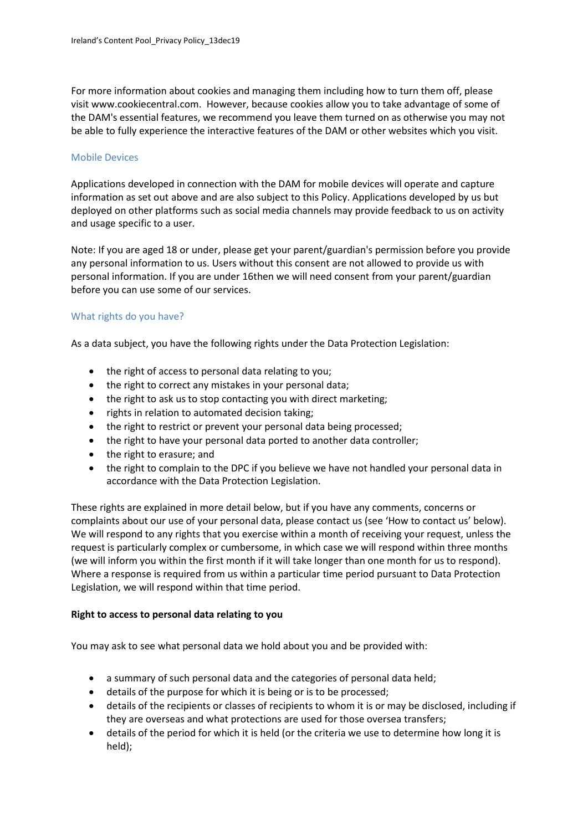For more information about cookies and managing them including how to turn them off, please visit [www.cookiecentral.com.](http://www.cookiecentral.com/) However, because cookies allow you to take advantage of some of the DAM's essential features, we recommend you leave them turned on as otherwise you may not be able to fully experience the interactive features of the DAM or other websites which you visit.

#### Mobile Devices

Applications developed in connection with the DAM for mobile devices will operate and capture information as set out above and are also subject to this Policy. Applications developed by us but deployed on other platforms such as social media channels may provide feedback to us on activity and usage specific to a user.

Note: If you are aged 18 or under, please get your parent/guardian's permission before you provide any personal information to us. Users without this consent are not allowed to provide us with personal information. If you are under 16then we will need consent from your parent/guardian before you can use some of our services.

## What rights do you have?

As a data subject, you have the following rights under the Data Protection Legislation:

- the right of access to personal data relating to you;
- the right to correct any mistakes in your personal data;
- the right to ask us to stop contacting you with direct marketing;
- rights in relation to automated decision taking;
- the right to restrict or prevent your personal data being processed;
- the right to have your personal data ported to another data controller;
- the right to erasure; and
- the right to complain to the DPC if you believe we have not handled your personal data in accordance with the Data Protection Legislation.

These rights are explained in more detail below, but if you have any comments, concerns or complaints about our use of your personal data, please contact us (see 'How to contact us' below). We will respond to any rights that you exercise within a month of receiving your request, unless the request is particularly complex or cumbersome, in which case we will respond within three months (we will inform you within the first month if it will take longer than one month for us to respond). Where a response is required from us within a particular time period pursuant to Data Protection Legislation, we will respond within that time period.

## **Right to access to personal data relating to you**

You may ask to see what personal data we hold about you and be provided with:

- a summary of such personal data and the categories of personal data held;
- details of the purpose for which it is being or is to be processed;
- details of the recipients or classes of recipients to whom it is or may be disclosed, including if they are overseas and what protections are used for those oversea transfers;
- details of the period for which it is held (or the criteria we use to determine how long it is held);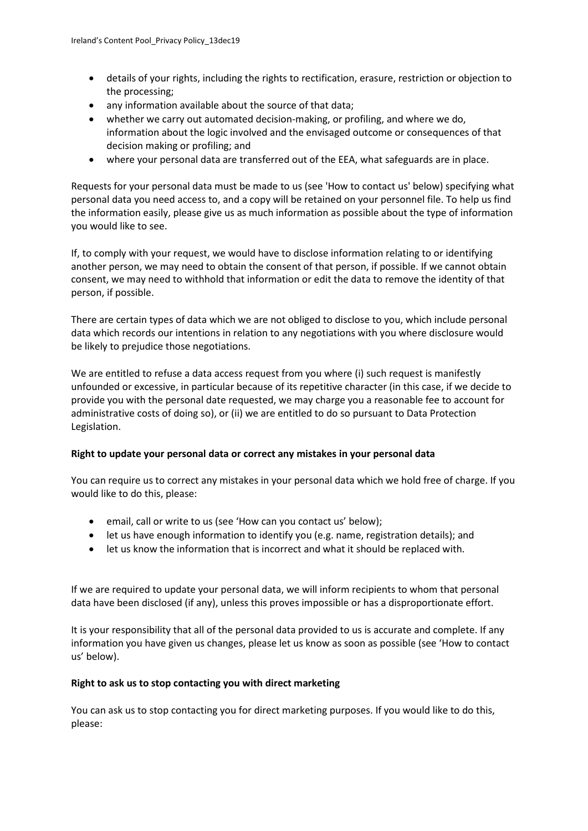- details of your rights, including the rights to rectification, erasure, restriction or objection to the processing;
- any information available about the source of that data;
- whether we carry out automated decision-making, or profiling, and where we do, information about the logic involved and the envisaged outcome or consequences of that decision making or profiling; and
- where your personal data are transferred out of the EEA, what safeguards are in place.

Requests for your personal data must be made to us (see 'How to contact us' below) specifying what personal data you need access to, and a copy will be retained on your personnel file. To help us find the information easily, please give us as much information as possible about the type of information you would like to see.

If, to comply with your request, we would have to disclose information relating to or identifying another person, we may need to obtain the consent of that person, if possible. If we cannot obtain consent, we may need to withhold that information or edit the data to remove the identity of that person, if possible.

There are certain types of data which we are not obliged to disclose to you, which include personal data which records our intentions in relation to any negotiations with you where disclosure would be likely to prejudice those negotiations.

We are entitled to refuse a data access request from you where (i) such request is manifestly unfounded or excessive, in particular because of its repetitive character (in this case, if we decide to provide you with the personal date requested, we may charge you a reasonable fee to account for administrative costs of doing so), or (ii) we are entitled to do so pursuant to Data Protection Legislation.

## **Right to update your personal data or correct any mistakes in your personal data**

You can require us to correct any mistakes in your personal data which we hold free of charge. If you would like to do this, please:

- email, call or write to us (see 'How can you contact us' below);
- let us have enough information to identify you (e.g. name, registration details); and
- let us know the information that is incorrect and what it should be replaced with.

If we are required to update your personal data, we will inform recipients to whom that personal data have been disclosed (if any), unless this proves impossible or has a disproportionate effort.

It is your responsibility that all of the personal data provided to us is accurate and complete. If any information you have given us changes, please let us know as soon as possible (see 'How to contact us' below).

## **Right to ask us to stop contacting you with direct marketing**

You can ask us to stop contacting you for direct marketing purposes. If you would like to do this, please: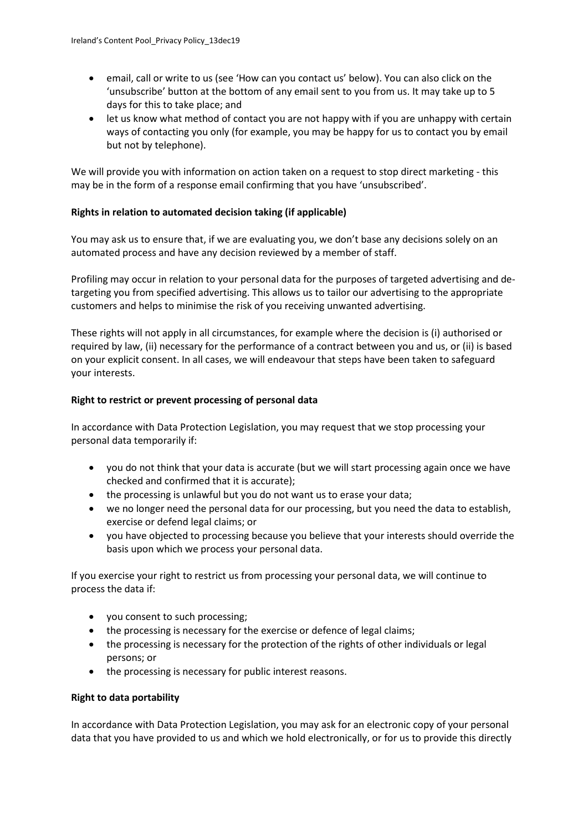- email, call or write to us (see 'How can you contact us' below). You can also click on the 'unsubscribe' button at the bottom of any email sent to you from us. It may take up to 5 days for this to take place; and
- let us know what method of contact you are not happy with if you are unhappy with certain ways of contacting you only (for example, you may be happy for us to contact you by email but not by telephone).

We will provide you with information on action taken on a request to stop direct marketing - this may be in the form of a response email confirming that you have 'unsubscribed'.

## **Rights in relation to automated decision taking (if applicable)**

You may ask us to ensure that, if we are evaluating you, we don't base any decisions solely on an automated process and have any decision reviewed by a member of staff.

Profiling may occur in relation to your personal data for the purposes of targeted advertising and detargeting you from specified advertising. This allows us to tailor our advertising to the appropriate customers and helps to minimise the risk of you receiving unwanted advertising.

These rights will not apply in all circumstances, for example where the decision is (i) authorised or required by law, (ii) necessary for the performance of a contract between you and us, or (ii) is based on your explicit consent. In all cases, we will endeavour that steps have been taken to safeguard your interests.

## **Right to restrict or prevent processing of personal data**

In accordance with Data Protection Legislation, you may request that we stop processing your personal data temporarily if:

- you do not think that your data is accurate (but we will start processing again once we have checked and confirmed that it is accurate);
- the processing is unlawful but you do not want us to erase your data;
- we no longer need the personal data for our processing, but you need the data to establish, exercise or defend legal claims; or
- you have objected to processing because you believe that your interests should override the basis upon which we process your personal data.

If you exercise your right to restrict us from processing your personal data, we will continue to process the data if:

- you consent to such processing;
- the processing is necessary for the exercise or defence of legal claims;
- the processing is necessary for the protection of the rights of other individuals or legal persons; or
- the processing is necessary for public interest reasons.

## **Right to data portability**

In accordance with Data Protection Legislation, you may ask for an electronic copy of your personal data that you have provided to us and which we hold electronically, or for us to provide this directly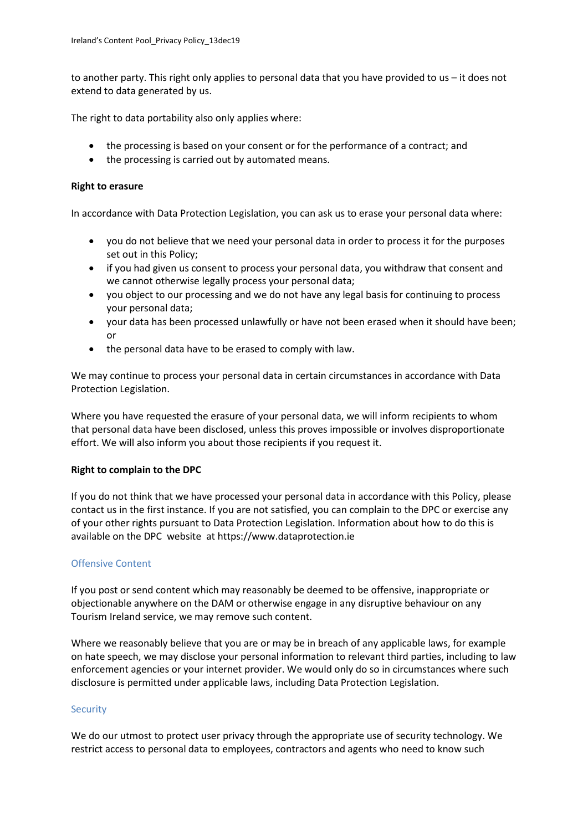to another party. This right only applies to personal data that you have provided to us – it does not extend to data generated by us.

The right to data portability also only applies where:

- the processing is based on your consent or for the performance of a contract; and
- the processing is carried out by automated means.

## **Right to erasure**

In accordance with Data Protection Legislation, you can ask us to erase your personal data where:

- you do not believe that we need your personal data in order to process it for the purposes set out in this Policy;
- if you had given us consent to process your personal data, you withdraw that consent and we cannot otherwise legally process your personal data;
- you object to our processing and we do not have any legal basis for continuing to process your personal data;
- your data has been processed unlawfully or have not been erased when it should have been; or
- the personal data have to be erased to comply with law.

We may continue to process your personal data in certain circumstances in accordance with Data Protection Legislation.

Where you have requested the erasure of your personal data, we will inform recipients to whom that personal data have been disclosed, unless this proves impossible or involves disproportionate effort. We will also inform you about those recipients if you request it.

## **Right to complain to the DPC**

If you do not think that we have processed your personal data in accordance with this Policy, please contact us in the first instance. If you are not satisfied, you can complain to the DPC or exercise any of your other rights pursuant to Data Protection Legislation. Information about how to do this is available on the DPC website at https://www.dataprotection.ie

## Offensive Content

If you post or send content which may reasonably be deemed to be offensive, inappropriate or objectionable anywhere on the DAM or otherwise engage in any disruptive behaviour on any Tourism Ireland service, we may remove such content.

Where we reasonably believe that you are or may be in breach of any applicable laws, for example on hate speech, we may disclose your personal information to relevant third parties, including to law enforcement agencies or your internet provider. We would only do so in circumstances where such disclosure is permitted under applicable laws, including Data Protection Legislation.

## **Security**

We do our utmost to protect user privacy through the appropriate use of security technology. We restrict access to personal data to employees, contractors and agents who need to know such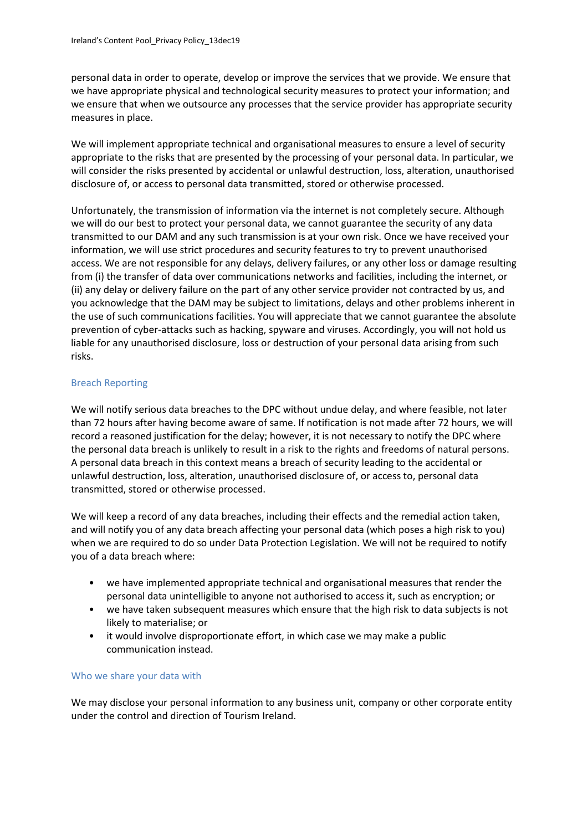personal data in order to operate, develop or improve the services that we provide. We ensure that we have appropriate physical and technological security measures to protect your information; and we ensure that when we outsource any processes that the service provider has appropriate security measures in place.

We will implement appropriate technical and organisational measures to ensure a level of security appropriate to the risks that are presented by the processing of your personal data. In particular, we will consider the risks presented by accidental or unlawful destruction, loss, alteration, unauthorised disclosure of, or access to personal data transmitted, stored or otherwise processed.

Unfortunately, the transmission of information via the internet is not completely secure. Although we will do our best to protect your personal data, we cannot guarantee the security of any data transmitted to our DAM and any such transmission is at your own risk. Once we have received your information, we will use strict procedures and security features to try to prevent unauthorised access. We are not responsible for any delays, delivery failures, or any other loss or damage resulting from (i) the transfer of data over communications networks and facilities, including the internet, or (ii) any delay or delivery failure on the part of any other service provider not contracted by us, and you acknowledge that the DAM may be subject to limitations, delays and other problems inherent in the use of such communications facilities. You will appreciate that we cannot guarantee the absolute prevention of cyber-attacks such as hacking, spyware and viruses. Accordingly, you will not hold us liable for any unauthorised disclosure, loss or destruction of your personal data arising from such risks.

## Breach Reporting

We will notify serious data breaches to the DPC without undue delay, and where feasible, not later than 72 hours after having become aware of same. If notification is not made after 72 hours, we will record a reasoned justification for the delay; however, it is not necessary to notify the DPC where the personal data breach is unlikely to result in a risk to the rights and freedoms of natural persons. A personal data breach in this context means a breach of security leading to the accidental or unlawful destruction, loss, alteration, unauthorised disclosure of, or access to, personal data transmitted, stored or otherwise processed.

We will keep a record of any data breaches, including their effects and the remedial action taken, and will notify you of any data breach affecting your personal data (which poses a high risk to you) when we are required to do so under Data Protection Legislation. We will not be required to notify you of a data breach where:

- we have implemented appropriate technical and organisational measures that render the personal data unintelligible to anyone not authorised to access it, such as encryption; or
- we have taken subsequent measures which ensure that the high risk to data subjects is not likely to materialise; or
- it would involve disproportionate effort, in which case we may make a public communication instead.

## Who we share your data with

We may disclose your personal information to any business unit, company or other corporate entity under the control and direction of Tourism Ireland.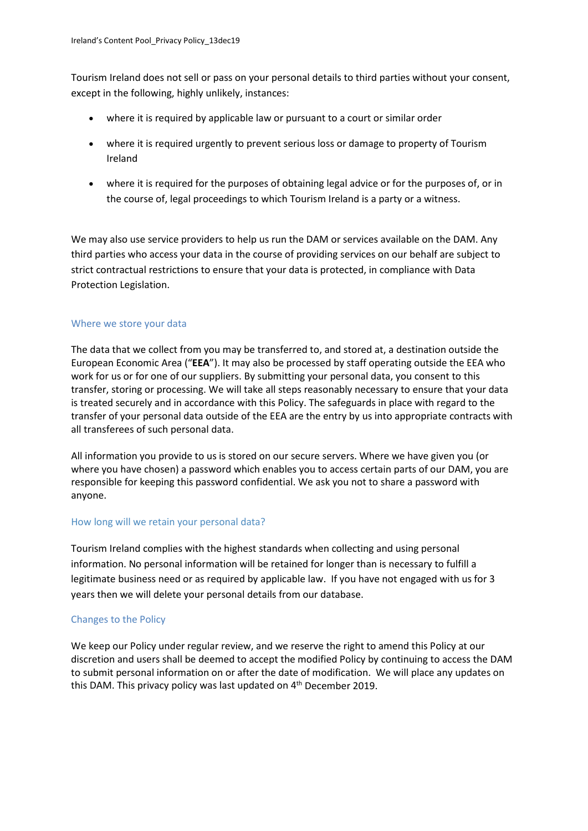Tourism Ireland does not sell or pass on your personal details to third parties without your consent, except in the following, highly unlikely, instances:

- where it is required by applicable law or pursuant to a court or similar order
- where it is required urgently to prevent serious loss or damage to property of Tourism Ireland
- where it is required for the purposes of obtaining legal advice or for the purposes of, or in the course of, legal proceedings to which Tourism Ireland is a party or a witness.

We may also use service providers to help us run the DAM or services available on the DAM. Any third parties who access your data in the course of providing services on our behalf are subject to strict contractual restrictions to ensure that your data is protected, in compliance with Data Protection Legislation.

## Where we store your data

The data that we collect from you may be transferred to, and stored at, a destination outside the European Economic Area ("**EEA**"). It may also be processed by staff operating outside the EEA who work for us or for one of our suppliers. By submitting your personal data, you consent to this transfer, storing or processing. We will take all steps reasonably necessary to ensure that your data is treated securely and in accordance with this Policy. The safeguards in place with regard to the transfer of your personal data outside of the EEA are the entry by us into appropriate contracts with all transferees of such personal data.

All information you provide to us is stored on our secure servers. Where we have given you (or where you have chosen) a password which enables you to access certain parts of our DAM, you are responsible for keeping this password confidential. We ask you not to share a password with anyone.

## How long will we retain your personal data?

Tourism Ireland complies with the highest standards when collecting and using personal information. No personal information will be retained for longer than is necessary to fulfill a legitimate business need or as required by applicable law. If you have not engaged with us for 3 years then we will delete your personal details from our database.

# Changes to the Policy

We keep our Policy under regular review, and we reserve the right to amend this Policy at our discretion and users shall be deemed to accept the modified Policy by continuing to access the DAM to submit personal information on or after the date of modification. We will place any updates on this DAM. This privacy policy was last updated on 4<sup>th</sup> December 2019.